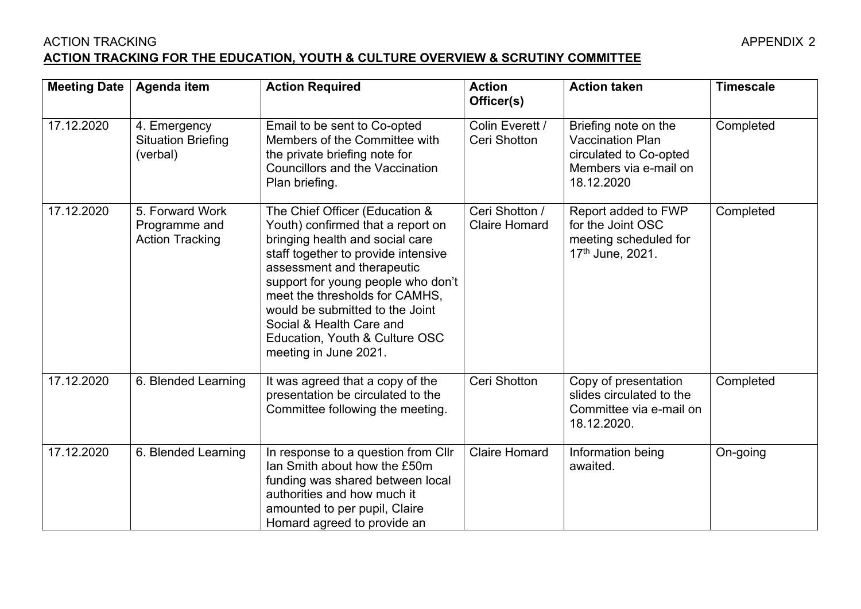## ACTION TRACKING APPENDIX 2 **ACTION TRACKING FOR THE EDUCATION, YOUTH & CULTURE OVERVIEW & SCRUTINY COMMITTEE**

| <b>Meeting Date</b> | Agenda item                                                | <b>Action Required</b>                                                                                                                                                                                                                                                                                                                                                        | <b>Action</b><br>Officer(s)            | <b>Action taken</b>                                                                                              | <b>Timescale</b> |
|---------------------|------------------------------------------------------------|-------------------------------------------------------------------------------------------------------------------------------------------------------------------------------------------------------------------------------------------------------------------------------------------------------------------------------------------------------------------------------|----------------------------------------|------------------------------------------------------------------------------------------------------------------|------------------|
| 17.12.2020          | 4. Emergency<br><b>Situation Briefing</b><br>(verbal)      | Email to be sent to Co-opted<br>Members of the Committee with<br>the private briefing note for<br><b>Councillors and the Vaccination</b><br>Plan briefing.                                                                                                                                                                                                                    | Colin Everett /<br>Ceri Shotton        | Briefing note on the<br><b>Vaccination Plan</b><br>circulated to Co-opted<br>Members via e-mail on<br>18.12.2020 | Completed        |
| 17.12.2020          | 5. Forward Work<br>Programme and<br><b>Action Tracking</b> | The Chief Officer (Education &<br>Youth) confirmed that a report on<br>bringing health and social care<br>staff together to provide intensive<br>assessment and therapeutic<br>support for young people who don't<br>meet the thresholds for CAMHS,<br>would be submitted to the Joint<br>Social & Health Care and<br>Education, Youth & Culture OSC<br>meeting in June 2021. | Ceri Shotton /<br><b>Claire Homard</b> | Report added to FWP<br>for the Joint OSC<br>meeting scheduled for<br>17th June, 2021.                            | Completed        |
| 17.12.2020          | 6. Blended Learning                                        | It was agreed that a copy of the<br>presentation be circulated to the<br>Committee following the meeting.                                                                                                                                                                                                                                                                     | Ceri Shotton                           | Copy of presentation<br>slides circulated to the<br>Committee via e-mail on<br>18.12.2020.                       | Completed        |
| 17.12.2020          | 6. Blended Learning                                        | In response to a question from Cllr<br>Ian Smith about how the £50m<br>funding was shared between local<br>authorities and how much it<br>amounted to per pupil, Claire<br>Homard agreed to provide an                                                                                                                                                                        | <b>Claire Homard</b>                   | Information being<br>awaited.                                                                                    | On-going         |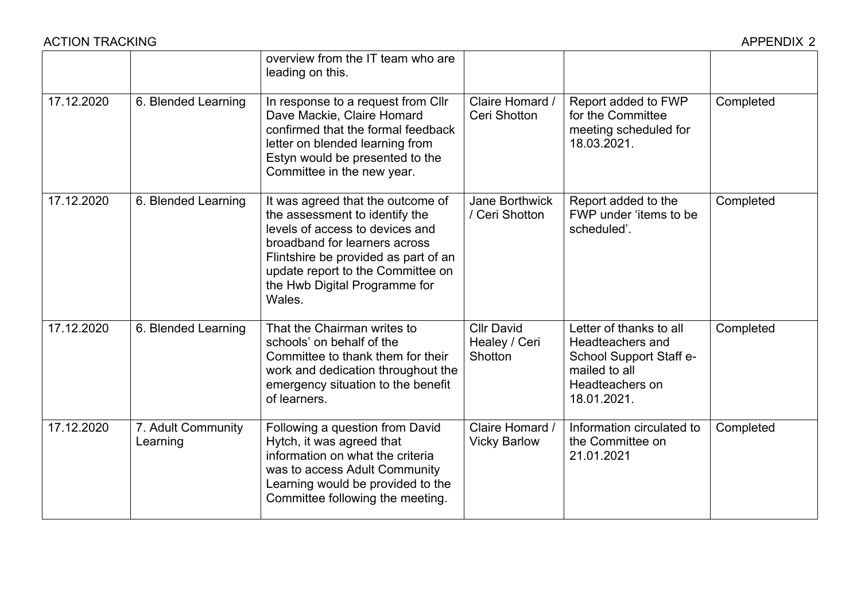## ACTION TRACKING APPENDIX 2

|            |                                | overview from the IT team who are<br>leading on this.                                                                                                                                                                                                           |                                               |                                                                                                                           |           |
|------------|--------------------------------|-----------------------------------------------------------------------------------------------------------------------------------------------------------------------------------------------------------------------------------------------------------------|-----------------------------------------------|---------------------------------------------------------------------------------------------------------------------------|-----------|
| 17.12.2020 | 6. Blended Learning            | In response to a request from Cllr<br>Dave Mackie, Claire Homard<br>confirmed that the formal feedback<br>letter on blended learning from<br>Estyn would be presented to the<br>Committee in the new year.                                                      | Claire Homard /<br>Ceri Shotton               | Report added to FWP<br>for the Committee<br>meeting scheduled for<br>18.03.2021.                                          | Completed |
| 17.12.2020 | 6. Blended Learning            | It was agreed that the outcome of<br>the assessment to identify the<br>levels of access to devices and<br>broadband for learners across<br>Flintshire be provided as part of an<br>update report to the Committee on<br>the Hwb Digital Programme for<br>Wales. | <b>Jane Borthwick</b><br>/ Ceri Shotton       | Report added to the<br>FWP under 'items to be<br>scheduled'.                                                              | Completed |
| 17.12.2020 | 6. Blended Learning            | That the Chairman writes to<br>schools' on behalf of the<br>Committee to thank them for their<br>work and dedication throughout the<br>emergency situation to the benefit<br>of learners.                                                                       | <b>Cllr David</b><br>Healey / Ceri<br>Shotton | Letter of thanks to all<br>Headteachers and<br>School Support Staff e-<br>mailed to all<br>Headteachers on<br>18.01.2021. | Completed |
| 17.12.2020 | 7. Adult Community<br>Learning | Following a question from David<br>Hytch, it was agreed that<br>information on what the criteria<br>was to access Adult Community<br>Learning would be provided to the<br>Committee following the meeting.                                                      | Claire Homard /<br><b>Vicky Barlow</b>        | Information circulated to<br>the Committee on<br>21.01.2021                                                               | Completed |